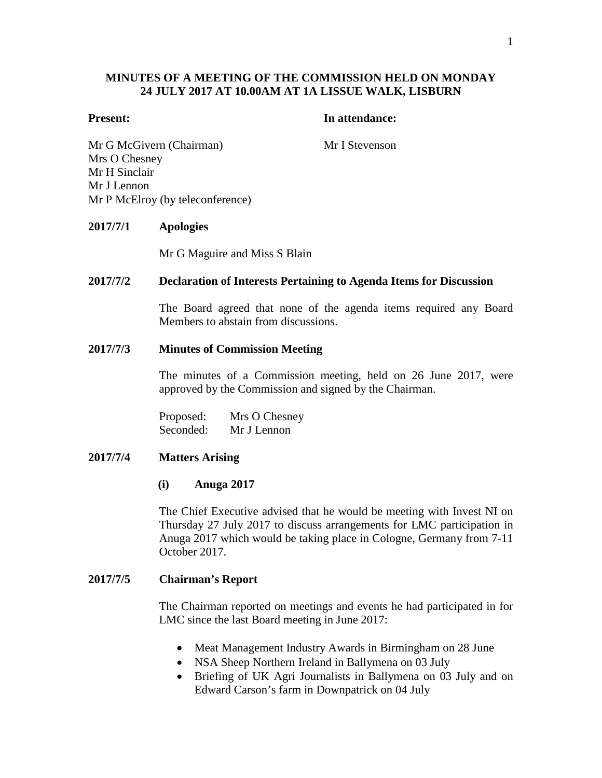# **MINUTES OF A MEETING OF THE COMMISSION HELD ON MONDAY 24 JULY 2017 AT 10.00AM AT 1A LISSUE WALK, LISBURN**

#### **Present: In attendance:**

Mr G McGivern (Chairman) Mr I Stevenson Mrs O Chesney Mr H Sinclair Mr J Lennon Mr P McElroy (by teleconference)

## **2017/7/1 Apologies**

Mr G Maguire and Miss S Blain

## **2017/7/2 Declaration of Interests Pertaining to Agenda Items for Discussion**

The Board agreed that none of the agenda items required any Board Members to abstain from discussions.

#### **2017/7/3 Minutes of Commission Meeting**

The minutes of a Commission meeting, held on 26 June 2017, were approved by the Commission and signed by the Chairman.

Proposed: Mrs O Chesney Seconded: Mr J Lennon

## **2017/7/4 Matters Arising**

#### **(i) Anuga 2017**

The Chief Executive advised that he would be meeting with Invest NI on Thursday 27 July 2017 to discuss arrangements for LMC participation in Anuga 2017 which would be taking place in Cologne, Germany from 7-11 October 2017.

## **2017/7/5 Chairman's Report**

The Chairman reported on meetings and events he had participated in for LMC since the last Board meeting in June 2017:

- Meat Management Industry Awards in Birmingham on 28 June
- NSA Sheep Northern Ireland in Ballymena on 03 July
- Briefing of UK Agri Journalists in Ballymena on 03 July and on Edward Carson's farm in Downpatrick on 04 July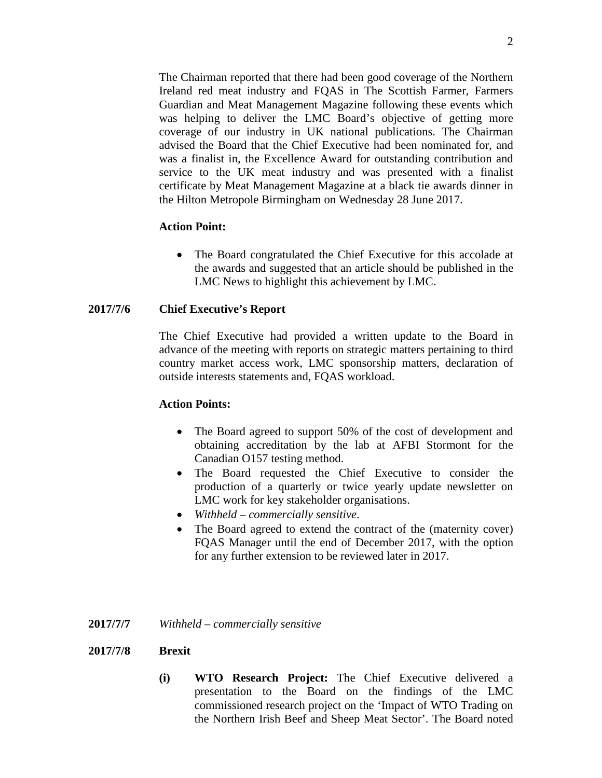The Chairman reported that there had been good coverage of the Northern Ireland red meat industry and FQAS in The Scottish Farmer, Farmers Guardian and Meat Management Magazine following these events which was helping to deliver the LMC Board's objective of getting more coverage of our industry in UK national publications. The Chairman advised the Board that the Chief Executive had been nominated for, and was a finalist in, the Excellence Award for outstanding contribution and service to the UK meat industry and was presented with a finalist certificate by Meat Management Magazine at a black tie awards dinner in the Hilton Metropole Birmingham on Wednesday 28 June 2017.

## **Action Point:**

• The Board congratulated the Chief Executive for this accolade at the awards and suggested that an article should be published in the LMC News to highlight this achievement by LMC.

## **2017/7/6 Chief Executive's Report**

The Chief Executive had provided a written update to the Board in advance of the meeting with reports on strategic matters pertaining to third country market access work, LMC sponsorship matters, declaration of outside interests statements and, FQAS workload.

## **Action Points:**

- The Board agreed to support 50% of the cost of development and obtaining accreditation by the lab at AFBI Stormont for the Canadian O157 testing method.
- The Board requested the Chief Executive to consider the production of a quarterly or twice yearly update newsletter on LMC work for key stakeholder organisations.
- *Withheld – commercially sensitive*.
- The Board agreed to extend the contract of the (maternity cover) FQAS Manager until the end of December 2017, with the option for any further extension to be reviewed later in 2017.

## **2017/7/7** *Withheld – commercially sensitive*

## **2017/7/8 Brexit**

**(i) WTO Research Project:** The Chief Executive delivered a presentation to the Board on the findings of the LMC commissioned research project on the 'Impact of WTO Trading on the Northern Irish Beef and Sheep Meat Sector'. The Board noted